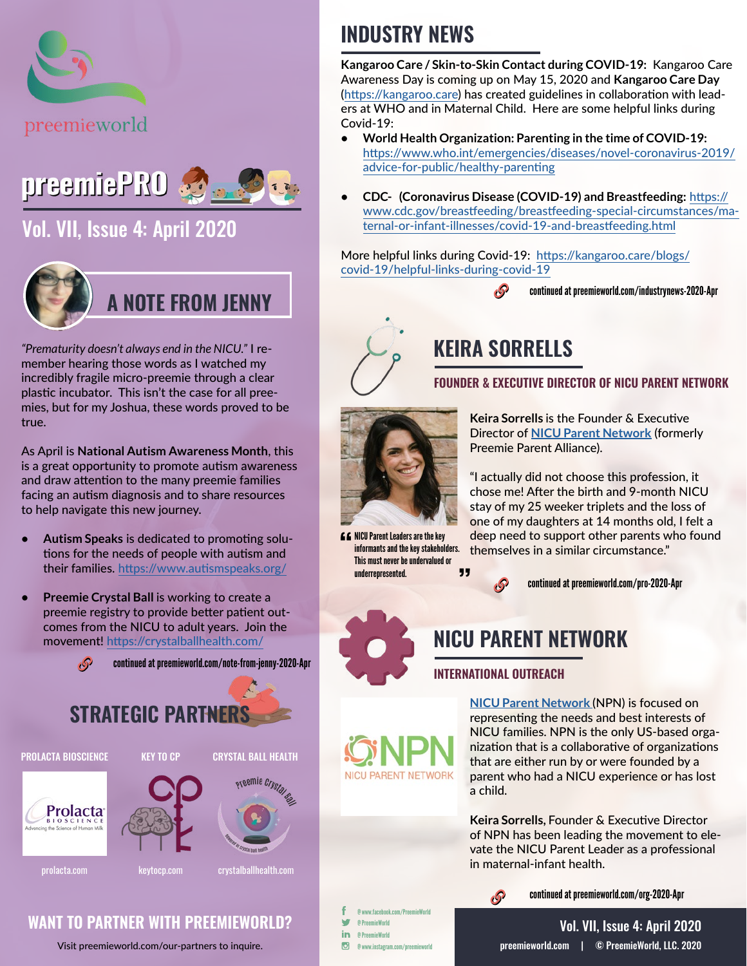



### [Vol. VII, Issue 4: April 2020](https://preemieworld.com/preemie-pro-digital-issues/)



*"Prematurity doesn't always end in the NICU."* I remember hearing those words as I watched my incredibly fragile micro-preemie through a clear plastic incubator. This isn't the case for all preemies, but for my Joshua, these words proved to be true.

As April is **National Autism Awareness Month**, this is a great opportunity to promote autism awareness and draw attention to the many preemie families facing an autism diagnosis and to share resources to help navigate this new journey.

- **• Autism Speaks** is dedicated to promoting solutions for the needs of people with autism and their families. [https://www.autismspeaks.org/](https://www.autismspeaks.org/ )
- **• Preemie Crystal Ball** is working to create a preemie registry to provide better patient outcomes from the NICU to adult years. Join the movement! <https://crystalballhealth.com/>



## **STRATEGIC PARTNERS**

PROLACTA BIOSCIENCE KEY TO CP CRYSTAL BALL HEALTH







prolacta.com [keytocp.com](https://keytocp.com/) crystalballhealth.com

#### **WANT TO PARTNER WITH PREEMIEWORLD?**

Visit [preemieworld.com/our-partners](https://preemieworld.com/our-partners) to inquire.

## **INDUSTRY NEWS**

**Kangaroo Care / Skin-to-Skin Contact during COVID-19:** Kangaroo Care Awareness Day is coming up on May 15, 2020 and **Kangaroo Care Day**  (<https://kangaroo.care>) has created guidelines in collaboration with leaders at WHO and in Maternal Child. Here are some helpful links during Covid-19:

- **• World Health Organization: Parenting in the time of COVID-19:** [https://www.who.int/emergencies/diseases/novel-coronavirus-2019/](https://www.who.int/emergencies/diseases/novel-coronavirus-2019/advice-for-public/healthy-parenting) [advice-for-public/healthy-parenting](https://www.who.int/emergencies/diseases/novel-coronavirus-2019/advice-for-public/healthy-parenting)
- **• CDC- (Coronavirus Disease (COVID-19) and Breastfeeding:** [https://](https://www.cdc.gov/breastfeeding/breastfeeding-special-circumstances/maternal-or-infant-illnesses/covid-19-and-breastfeeding.html) [www.cdc.gov/breastfeeding/breastfeeding-special-circumstances/ma](https://www.cdc.gov/breastfeeding/breastfeeding-special-circumstances/maternal-or-infant-illnesses/covid-19-and-breastfeeding.html)[ternal-or-infant-illnesses/covid-19-and-breastfeeding.html](https://www.cdc.gov/breastfeeding/breastfeeding-special-circumstances/maternal-or-infant-illnesses/covid-19-and-breastfeeding.html)

More helpful links during Covid-19: [https://kangaroo.care/blogs/](https://kangaroo.care/blogs/covid-19/helpful-links-during-covid-19) [covid-19/helpful-links-during-covid-19](https://kangaroo.care/blogs/covid-19/helpful-links-during-covid-19)

continued at [preemieworld.com/industrynews-2020-](https://preemieworld.com/industrynews-2020-Apr)Apr



## **KEIRA SORRELLS**

**FOUNDER & EXECUTIVE DIRECTOR OF NICU PARENT NETWORK**



**66** NICU Parent Leaders are the key informants and the key stakeholders. This must never be undervalued or  $\overline{\mathbf{5}}$ underrepresented.

**Keira Sorrells** is the Founder & Executive Director of **[NICU Parent Network](https://nicuparentnetwork.org/
)** (formerly Preemie Parent Alliance).

"I actually did not choose this profession, it chose me! After the birth and 9-month NICU stay of my 25 weeker triplets and the loss of one of my daughters at 14 months old, I felt a deep need to support other parents who found themselves in a similar circumstance."



continued at [preemieworld.com/pro-2020-A](https://preemieworld.com/pro-2020-Apr)pr



#### **INTERNATIONAL OUTREACH**

**[NICU Parent Network](https://nicuparentnetwork.org/
)** (NPN) is focused on representing the needs and best interests of NICU families. NPN is the only US-based organization that is a collaborative of organizations that are either run by or were founded by a parent who had a NICU experience or has lost a child.

**Keira Sorrells,** Founder & Executive Director of NPN has been leading the movement to elevate the NICU Parent Leader as a professional in maternal-infant health.



continued at [preemieworld.com/org-2020-](https://preemieworld.com/org-2020-Apr)Apr

@ www.facebook.com/PreemieWorld @ PreemieWorld @ PreemieWorld

**NICU PARENT NETWORK** 

 $\overline{G}$ @ www.instagram.com/preemieworld

in

[preemieworld.com](https://preemieworld.com) | © PreemieWorld, LLC. 2020 Vol. VII, Issue 4: April 2020